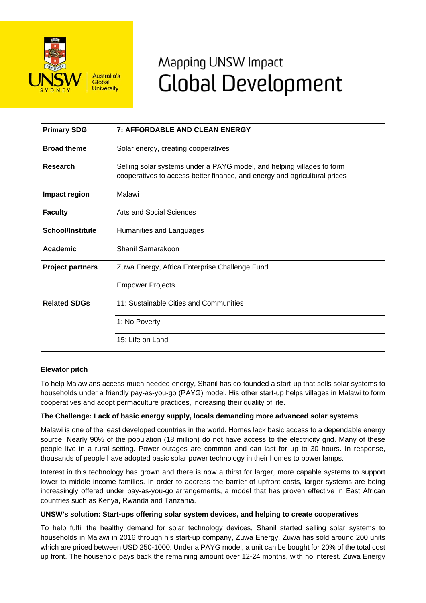

# Mapping UNSW Impact **Global Development**

| <b>Primary SDG</b>      | <b>7: AFFORDABLE AND CLEAN ENERGY</b>                                                                                                               |
|-------------------------|-----------------------------------------------------------------------------------------------------------------------------------------------------|
| <b>Broad theme</b>      | Solar energy, creating cooperatives                                                                                                                 |
| Research                | Selling solar systems under a PAYG model, and helping villages to form<br>cooperatives to access better finance, and energy and agricultural prices |
| Impact region           | Malawi                                                                                                                                              |
| <b>Faculty</b>          | Arts and Social Sciences                                                                                                                            |
| <b>School/Institute</b> | Humanities and Languages                                                                                                                            |
| Academic                | Shanil Samarakoon                                                                                                                                   |
| <b>Project partners</b> | Zuwa Energy, Africa Enterprise Challenge Fund                                                                                                       |
|                         | <b>Empower Projects</b>                                                                                                                             |
| <b>Related SDGs</b>     | 11: Sustainable Cities and Communities                                                                                                              |
|                         | 1: No Poverty                                                                                                                                       |
|                         | 15: Life on Land                                                                                                                                    |

## **Elevator pitch**

To help Malawians access much needed energy, Shanil has co-founded a start-up that sells solar systems to households under a friendly pay-as-you-go (PAYG) model. His other start-up helps villages in Malawi to form cooperatives and adopt permaculture practices, increasing their quality of life.

## **The Challenge: Lack of basic energy supply, locals demanding more advanced solar systems**

Malawi is one of the least developed countries in the world. Homes lack basic access to a dependable energy source. Nearly 90% of the population (18 million) do not have access to the electricity grid. Many of these people live in a rural setting. Power outages are common and can last for up to 30 hours. In response, thousands of people have adopted basic solar power technology in their homes to power lamps.

Interest in this technology has grown and there is now a thirst for larger, more capable systems to support lower to middle income families. In order to address the barrier of upfront costs, larger systems are being increasingly offered under pay-as-you-go arrangements, a model that has proven effective in East African countries such as Kenya, Rwanda and Tanzania.

#### **UNSW's solution: Start-ups offering solar system devices, and helping to create cooperatives**

To help fulfil the healthy demand for solar technology devices, Shanil started selling solar systems to households in Malawi in 2016 through his start-up company, Zuwa Energy. Zuwa has sold around 200 units which are priced between USD 250-1000. Under a PAYG model, a unit can be bought for 20% of the total cost up front. The household pays back the remaining amount over 12-24 months, with no interest. Zuwa Energy